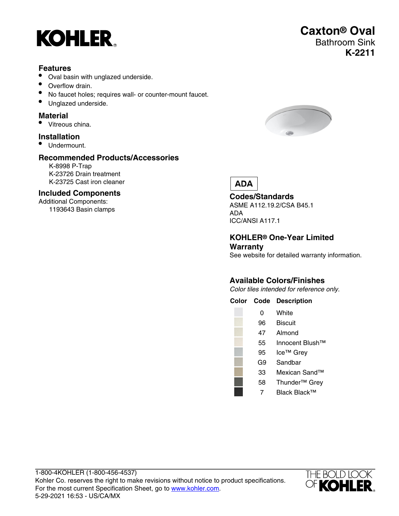

## **Features**

- Oval basin with unglazed underside.
- Overflow drain.
- No faucet holes; requires wall- or counter-mount faucet.
- Unglazed underside.

#### **Material**

• Vitreous china.

# **Installation**

• Undermount.

## **Recommended Products/Accessories**

K-8998 P-Trap K-23726 Drain treatment K-23725 Cast iron cleaner

#### **Included Components**

Additional Components: 1193643 Basin clamps



**Caxton® Oval**

Bathroom Sink

**K-2211**

# **ADA**

### **Codes/Standards**

ASME A112.19.2/CSA B45.1 ADA ICC/ANSI A117.1

#### **KOHLER® One-Year Limited Warranty**

See website for detailed warranty information.

# **Available Colors/Finishes**

Color tiles intended for reference only.

#### **Color Code Description**

- 96 Biscuit
- 47 Almond
- 55 Innocent Blush™
- 95 Ice™ Grey
	- G9 Sandbar
	- 33 Mexican Sand™
	- 58 Thunder™ Grey
		- 7 Black Black™